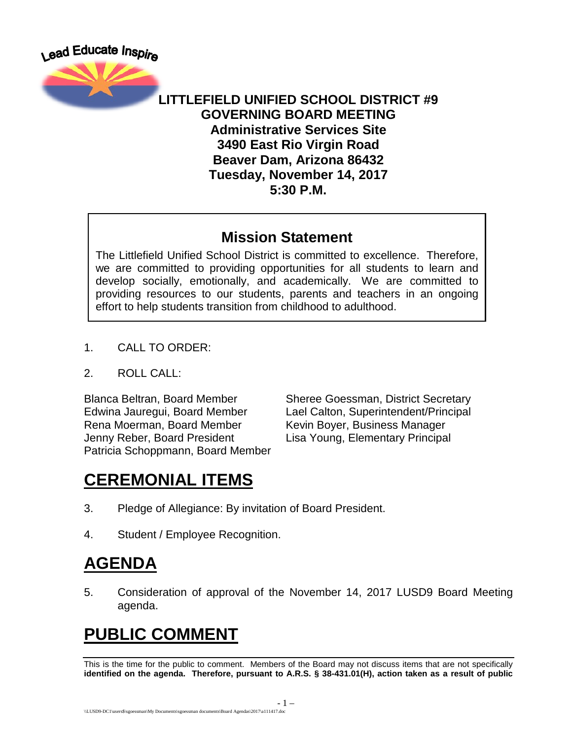



#### **LITTLEFIELD UNIFIED SCHOOL DISTRICT #9 GOVERNING BOARD MEETING Administrative Services Site 3490 East Rio Virgin Road Beaver Dam, Arizona 86432 Tuesday, November 14, 2017 5:30 P.M.**

#### **Mission Statement**

The Littlefield Unified School District is committed to excellence. Therefore, we are committed to providing opportunities for all students to learn and develop socially, emotionally, and academically. We are committed to providing resources to our students, parents and teachers in an ongoing effort to help students transition from childhood to adulthood.

- 1. CALL TO ORDER:
- 2. ROLL CALL:

Rena Moerman, Board Member Kevin Boyer, Business Manager Jenny Reber, Board President Lisa Young, Elementary Principal Patricia Schoppmann, Board Member

Blanca Beltran, Board Member Sheree Goessman, District Secretary Edwina Jauregui, Board Member Lael Calton, Superintendent/Principal

## **CEREMONIAL ITEMS**

- 3. Pledge of Allegiance: By invitation of Board President.
- 4. Student / Employee Recognition.

## **AGENDA**

5. Consideration of approval of the November 14, 2017 LUSD9 Board Meeting agenda.

# **PUBLIC COMMENT**

This is the time for the public to comment. Members of the Board may not discuss items that are not specifically **identified on the agenda. Therefore, pursuant to A.R.S. § 38-431.01(H), action taken as a result of public**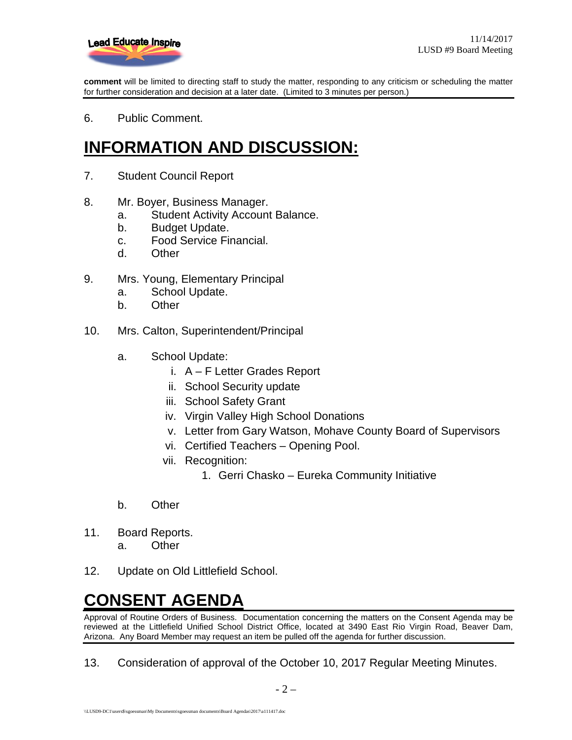

**comment** will be limited to directing staff to study the matter, responding to any criticism or scheduling the matter for further consideration and decision at a later date. (Limited to 3 minutes per person.)

6. Public Comment.

#### **INFORMATION AND DISCUSSION:**

- 7. Student Council Report
- 8. Mr. Boyer, Business Manager.
	- a. Student Activity Account Balance.
	- b. Budget Update.
	- c. Food Service Financial.
	- d. Other
- 9. Mrs. Young, Elementary Principal
	- a. School Update.
	- b. Other
- 10. Mrs. Calton, Superintendent/Principal
	- a. School Update:
		- i. A F Letter Grades Report
		- ii. School Security update
		- iii. School Safety Grant
		- iv. Virgin Valley High School Donations
		- v. Letter from Gary Watson, Mohave County Board of Supervisors
		- vi. Certified Teachers Opening Pool.
		- vii. Recognition:
			- 1. Gerri Chasko Eureka Community Initiative
	- b. Other
- 11. Board Reports.
	- a. Other
- 12. Update on Old Littlefield School.

#### **CONSENT AGENDA**

Approval of Routine Orders of Business. Documentation concerning the matters on the Consent Agenda may be reviewed at the Littlefield Unified School District Office, located at 3490 East Rio Virgin Road, Beaver Dam, Arizona. Any Board Member may request an item be pulled off the agenda for further discussion.

13. Consideration of approval of the October 10, 2017 Regular Meeting Minutes.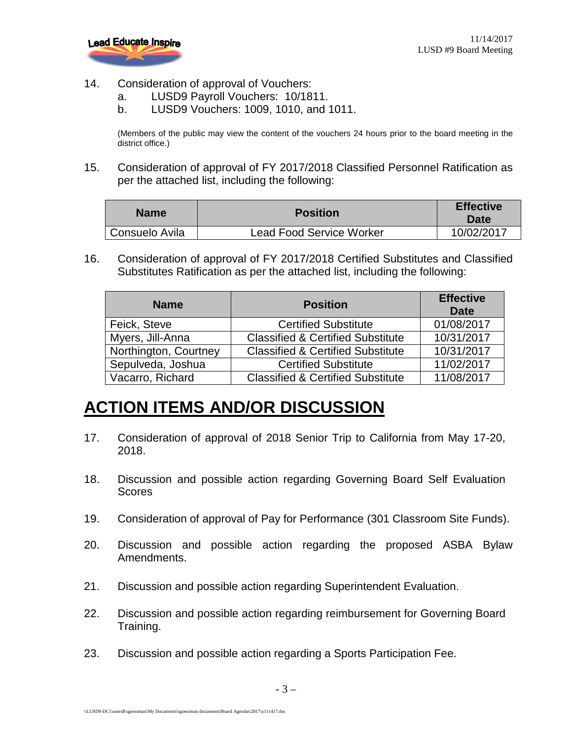

- 14. Consideration of approval of Vouchers:
	- a. LUSD9 Payroll Vouchers: 10/1811.
	- b. LUSD9 Vouchers: 1009, 1010, and 1011.

(Members of the public may view the content of the vouchers 24 hours prior to the board meeting in the district office.)

15. Consideration of approval of FY 2017/2018 Classified Personnel Ratification as per the attached list, including the following:

| <b>Name</b>    | <b>Position</b>                 | <b>Effective</b><br>Date |
|----------------|---------------------------------|--------------------------|
| Consuelo Avila | <b>Lead Food Service Worker</b> | 10/02/2017               |

16. Consideration of approval of FY 2017/2018 Certified Substitutes and Classified Substitutes Ratification as per the attached list, including the following:

| <b>Name</b>           | <b>Position</b>                              | <b>Effective</b><br><b>Date</b> |
|-----------------------|----------------------------------------------|---------------------------------|
| Feick, Steve          | <b>Certified Substitute</b>                  | 01/08/2017                      |
| Myers, Jill-Anna      | <b>Classified &amp; Certified Substitute</b> | 10/31/2017                      |
| Northington, Courtney | <b>Classified &amp; Certified Substitute</b> | 10/31/2017                      |
| Sepulveda, Joshua     | <b>Certified Substitute</b>                  | 11/02/2017                      |
| Vacarro, Richard      | <b>Classified &amp; Certified Substitute</b> | 11/08/2017                      |

## **ACTION ITEMS AND/OR DISCUSSION**

- 17. Consideration of approval of 2018 Senior Trip to California from May 17-20, 2018.
- 18. Discussion and possible action regarding Governing Board Self Evaluation **Scores**
- 19. Consideration of approval of Pay for Performance (301 Classroom Site Funds).
- 20. Discussion and possible action regarding the proposed ASBA Bylaw Amendments.
- 21. Discussion and possible action regarding Superintendent Evaluation.
- 22. Discussion and possible action regarding reimbursement for Governing Board Training.
- 23. Discussion and possible action regarding a Sports Participation Fee.